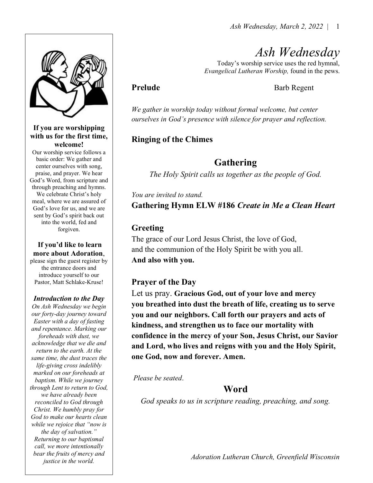

#### If you are worshipping with us for the first time, welcome!

Our worship service follows a basic order: We gather and center ourselves with song, praise, and prayer. We hear God's Word, from scripture and through preaching and hymns. We celebrate Christ's holy meal, where we are assured of God's love for us, and we are sent by God's spirit back out into the world, fed and forgiven.

### If you'd like to learn more about Adoration,

please sign the guest register by the entrance doors and introduce yourself to our Pastor, Matt Schlake-Kruse!

### Introduction to the Day

On Ash Wednesday we begin our forty-day journey toward Easter with a day of fasting and repentance. Marking our foreheads with dust, we acknowledge that we die and return to the earth. At the same time, the dust traces the life-giving cross indelibly marked on our foreheads at baptism. While we journey through Lent to return to God, we have already been reconciled to God through Christ. We humbly pray for God to make our hearts clean while we rejoice that "now is the day of salvation." Returning to our baptismal call, we more intentionally bear the fruits of mercy and justice in the world.

Ash Wednesday Today's worship service uses the red hymnal, Evangelical Lutheran Worship, found in the pews.

Prelude Barb Regent

We gather in worship today without formal welcome, but center ourselves in God's presence with silence for prayer and reflection.

# Ringing of the Chimes

# Gathering

The Holy Spirit calls us together as the people of God.

You are invited to stand. Gathering Hymn ELW #186 Create in Me a Clean Heart

# Greeting

The grace of our Lord Jesus Christ, the love of God, and the communion of the Holy Spirit be with you all. And also with you.

# Prayer of the Day

Let us pray. Gracious God, out of your love and mercy you breathed into dust the breath of life, creating us to serve you and our neighbors. Call forth our prayers and acts of kindness, and strengthen us to face our mortality with confidence in the mercy of your Son, Jesus Christ, our Savior and Lord, who lives and reigns with you and the Holy Spirit, one God, now and forever. Amen.

Please be seated.

# Word

God speaks to us in scripture reading, preaching, and song.

Adoration Lutheran Church, Greenfield Wisconsin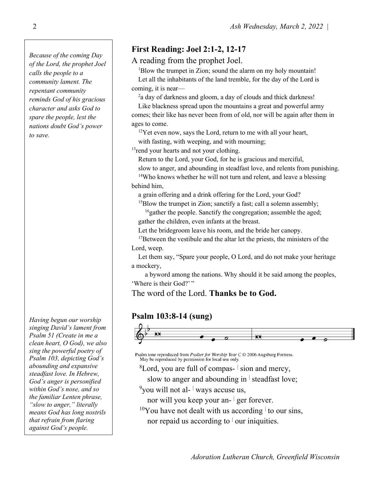Because of the coming Day of the Lord, the prophet Joel calls the people to a community lament. The repentant community reminds God of his gracious character and asks God to spare the people, lest the nations doubt God's power to save.

Having begun our worship singing David's lament from Psalm 51 (Create in me a clean heart, O God), we also sing the powerful poetry of Psalm 103, depicting God's abounding and expansive steadfast love. In Hebrew, God's anger is personified within God's nose, and so the familiar Lenten phrase, "slow to anger," literally means God has long nostrils that refrain from flaring against God's people.

# First Reading: Joel 2:1-2, 12-17

## A reading from the prophet Joel.

<sup>1</sup>Blow the trumpet in Zion; sound the alarm on my holy mountain! Let all the inhabitants of the land tremble, for the day of the Lord is coming, it is near—

<sup>2</sup>a day of darkness and gloom, a day of clouds and thick darkness!

 Like blackness spread upon the mountains a great and powerful army comes; their like has never been from of old, nor will be again after them in ages to come.

 $12$ Yet even now, says the Lord, return to me with all your heart, with fasting, with weeping, and with mourning;

<sup>13</sup>rend your hearts and not your clothing.

Return to the Lord, your God, for he is gracious and merciful,

slow to anger, and abounding in steadfast love, and relents from punishing.

<sup>14</sup>Who knows whether he will not turn and relent, and leave a blessing

behind him,

a grain offering and a drink offering for the Lord, your God?

 $15B$ low the trumpet in Zion; sanctify a fast; call a solemn assembly;

 $16$ <sub>gather the people. Sanctify the congregation; assemble the aged;</sub> gather the children, even infants at the breast.

Let the bridegroom leave his room, and the bride her canopy.

<sup>17</sup>Between the vestibule and the altar let the priests, the ministers of the Lord, weep.

 Let them say, "Spare your people, O Lord, and do not make your heritage a mockery,

 a byword among the nations. Why should it be said among the peoples, 'Where is their God?'"

The word of the Lord. **Thanks be to God.** 

# Psalm 103:8-14 (sung)



Psalm tone reproduced from *Psalter for Worship Year C* © 2006 Augsburg Fortress.<br>May be reproduced by permission for local use only.

 ${}^{8}$ Lord, you are full of compas-  $\frac{1}{1}$  sion and mercy,

slow to anger and abounding in  $\vert$  steadfast love;

<sup>9</sup>you will not al-  $\vert$  ways accuse us,

nor will you keep your an- ger forever.

 $10$ You have not dealt with us according to our sins, nor repaid us according to  $\vert$  our iniquities.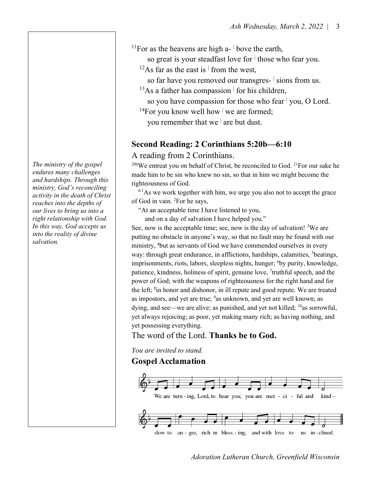The ministry of the gospel endures many challenges and hardships. Through this ministry, God's reconciling activity in the death of Christ reaches into the depths of our lives to bring us into a right relationship with God. In this way, God accepts us into the reality of divine salvation.

<sup>11</sup>For as the heavens are high a-  $\vert$  bove the earth,

so great is your steadfast love for those who fear you.

<sup>12</sup>As far as the east is  $\vert$  from the west,

so far have you removed our transgres- sions from us.

 $13As$  a father has compassion for his children,

so you have compassion for those who fear  $\vert$  you, O Lord.

<sup>14</sup>For you know well how we are formed;

you remember that we  $\vert$  are but dust.

# Second Reading: 2 Corinthians 5:20b—6:10

A reading from 2 Corinthians.

 $20b$ We entreat you on behalf of Christ, be reconciled to God. <sup>21</sup>For our sake he made him to be sin who knew no sin, so that in him we might become the righteousness of God.

 $6:1$ As we work together with him, we urge you also not to accept the grace of God in vain. <sup>2</sup>For he says,

"At an acceptable time I have listened to you,

and on a day of salvation I have helped you."

See, now is the acceptable time; see, now is the day of salvation!  $3W$ e are putting no obstacle in anyone's way, so that no fault may be found with our ministry, <sup>4</sup>but as servants of God we have commended ourselves in every way: through great endurance, in afflictions, hardships, calamities, <sup>5</sup>beatings, imprisonments, riots, labors, sleepless nights, hunger; <sup>6</sup>by purity, knowledge, patience, kindness, holiness of spirit, genuine love, <sup>7</sup>truthful speech, and the power of God; with the weapons of righteousness for the right hand and for the left; <sup>8</sup>in honor and dishonor, in ill repute and good repute. We are treated as impostors, and yet are true; <sup>9</sup>as unknown, and yet are well known; as dying, and see—we are alive; as punished, and yet not killed;  $^{10}$  as sorrowful, yet always rejoicing; as poor, yet making many rich; as having nothing, and yet possessing everything.

The word of the Lord. **Thanks be to God.** 

You are invited to stand.

Gospel Acclamation



Adoration Lutheran Church, Greenfield Wisconsin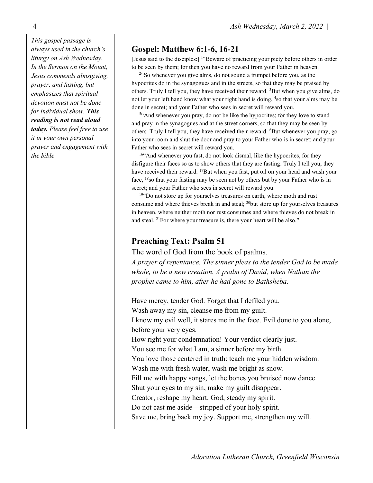This gospel passage is always used in the church's liturgy on Ash Wednesday. In the Sermon on the Mount, Jesus commends almsgiving, prayer, and fasting, but emphasizes that spiritual devotion must not be done for individual show. **This** reading is not read aloud today. Please feel free to use it in your own personal prayer and engagement with the bible

# Gospel: Matthew 6:1-6, 16-21

[Jesus said to the disciples:] <sup>1</sup>"Beware of practicing your piety before others in order to be seen by them; for then you have no reward from your Father in heaven.

<sup>2"</sup>So whenever you give alms, do not sound a trumpet before you, as the hypocrites do in the synagogues and in the streets, so that they may be praised by others. Truly I tell you, they have received their reward. <sup>3</sup>But when you give alms, do not let your left hand know what your right hand is doing, <sup>4</sup>so that your alms may be done in secret; and your Father who sees in secret will reward you.

<sup>5"</sup>And whenever you pray, do not be like the hypocrites; for they love to stand and pray in the synagogues and at the street corners, so that they may be seen by others. Truly I tell you, they have received their reward. <sup>6</sup>But whenever you pray, go into your room and shut the door and pray to your Father who is in secret; and your Father who sees in secret will reward you.

<sup>16"</sup>And whenever you fast, do not look dismal, like the hypocrites, for they disfigure their faces so as to show others that they are fasting. Truly I tell you, they have received their reward. <sup>17</sup>But when you fast, put oil on your head and wash your face,  $18$ so that your fasting may be seen not by others but by your Father who is in secret; and your Father who sees in secret will reward you.

<sup>194</sup> Do not store up for yourselves treasures on earth, where moth and rust consume and where thieves break in and steal; <sup>20</sup>but store up for yourselves treasures in heaven, where neither moth nor rust consumes and where thieves do not break in and steal. <sup>21</sup>For where your treasure is, there your heart will be also."

### Preaching Text: Psalm 51

The word of God from the book of psalms.

A prayer of repentance. The sinner pleas to the tender God to be made whole, to be a new creation. A psalm of David, when Nathan the prophet came to him, after he had gone to Bathsheba.

Have mercy, tender God. Forget that I defiled you. Wash away my sin, cleanse me from my guilt. I know my evil well, it stares me in the face. Evil done to you alone, before your very eyes. How right your condemnation! Your verdict clearly just. You see me for what I am, a sinner before my birth. You love those centered in truth: teach me your hidden wisdom. Wash me with fresh water, wash me bright as snow. Fill me with happy songs, let the bones you bruised now dance. Shut your eyes to my sin, make my guilt disappear. Creator, reshape my heart. God, steady my spirit. Do not cast me aside—stripped of your holy spirit. Save me, bring back my joy. Support me, strengthen my will.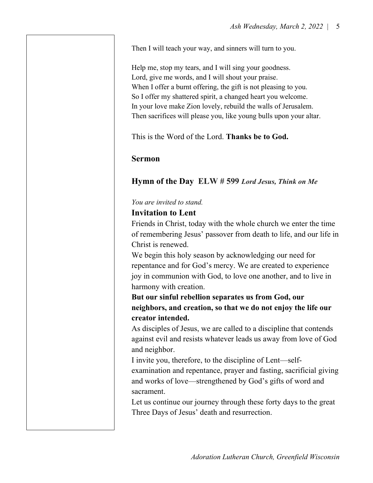Then I will teach your way, and sinners will turn to you.

Help me, stop my tears, and I will sing your goodness. Lord, give me words, and I will shout your praise. When I offer a burnt offering, the gift is not pleasing to you. So I offer my shattered spirit, a changed heart you welcome. In your love make Zion lovely, rebuild the walls of Jerusalem. Then sacrifices will please you, like young bulls upon your altar.

This is the Word of the Lord. Thanks be to God.

### Sermon

#### Hymn of the Day ELW # 599 Lord Jesus, Think on Me

#### You are invited to stand.

### Invitation to Lent

Friends in Christ, today with the whole church we enter the time of remembering Jesus' passover from death to life, and our life in Christ is renewed.

We begin this holy season by acknowledging our need for repentance and for God's mercy. We are created to experience joy in communion with God, to love one another, and to live in harmony with creation.

But our sinful rebellion separates us from God, our neighbors, and creation, so that we do not enjoy the life our creator intended.

As disciples of Jesus, we are called to a discipline that contends against evil and resists whatever leads us away from love of God and neighbor.

I invite you, therefore, to the discipline of Lent—selfexamination and repentance, prayer and fasting, sacrificial giving and works of love—strengthened by God's gifts of word and sacrament.

Let us continue our journey through these forty days to the great Three Days of Jesus' death and resurrection.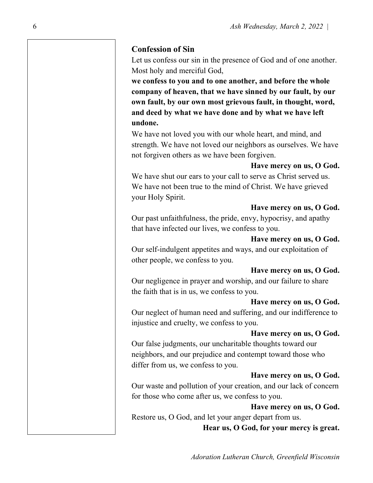### Confession of Sin

Let us confess our sin in the presence of God and of one another. Most holy and merciful God,

we confess to you and to one another, and before the whole company of heaven, that we have sinned by our fault, by our own fault, by our own most grievous fault, in thought, word, and deed by what we have done and by what we have left undone.

We have not loved you with our whole heart, and mind, and strength. We have not loved our neighbors as ourselves. We have not forgiven others as we have been forgiven.

#### Have mercy on us, O God.

We have shut our ears to your call to serve as Christ served us. We have not been true to the mind of Christ. We have grieved your Holy Spirit.

#### Have mercy on us, O God.

Our past unfaithfulness, the pride, envy, hypocrisy, and apathy that have infected our lives, we confess to you.

#### Have mercy on us, O God.

Our self-indulgent appetites and ways, and our exploitation of other people, we confess to you.

#### Have mercy on us, O God.

Our negligence in prayer and worship, and our failure to share the faith that is in us, we confess to you.

#### Have mercy on us, O God.

Our neglect of human need and suffering, and our indifference to injustice and cruelty, we confess to you.

#### Have mercy on us, O God.

Our false judgments, our uncharitable thoughts toward our neighbors, and our prejudice and contempt toward those who differ from us, we confess to you.

#### Have mercy on us, O God.

Our waste and pollution of your creation, and our lack of concern for those who come after us, we confess to you.

#### Have mercy on us, O God.

Restore us, O God, and let your anger depart from us.

Hear us, O God, for your mercy is great.

6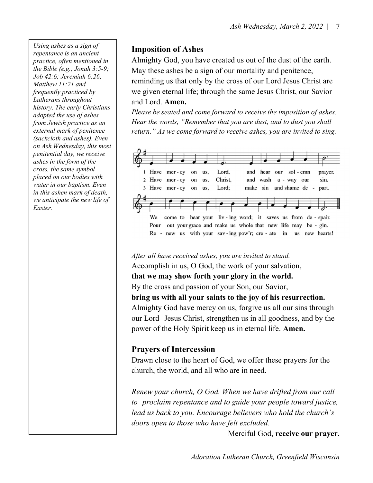Using ashes as a sign of repentance is an ancient practice, often mentioned in the Bible (e.g., Jonah 3:5-9; Job 42:6; Jeremiah 6:26; Matthew 11:21 and frequently practiced by Lutherans throughout history. The early Christians adopted the use of ashes from Jewish practice as an external mark of penitence (sackcloth and ashes). Even on Ash Wednesday, this most penitential day, we receive ashes in the form of the cross, the same symbol placed on our bodies with water in our baptism. Even in this ashen mark of death, we anticipate the new life of Easter.

# Imposition of Ashes

Almighty God, you have created us out of the dust of the earth. May these ashes be a sign of our mortality and penitence, reminding us that only by the cross of our Lord Jesus Christ are we given eternal life; through the same Jesus Christ, our Savior and Lord. Amen.

Please be seated and come forward to receive the imposition of ashes. Hear the words, "Remember that you are dust, and to dust you shall return." As we come forward to receive ashes, you are invited to sing.



After all have received ashes, you are invited to stand.

Accomplish in us, O God, the work of your salvation,

that we may show forth your glory in the world.

By the cross and passion of your Son, our Savior,

#### bring us with all your saints to the joy of his resurrection.

Almighty God have mercy on us, forgive us all our sins through our Lord Jesus Christ, strengthen us in all goodness, and by the power of the Holy Spirit keep us in eternal life. Amen.

# Prayers of Intercession

Drawn close to the heart of God, we offer these prayers for the church, the world, and all who are in need.

Renew your church, O God. When we have drifted from our call to proclaim repentance and to guide your people toward justice, lead us back to you. Encourage believers who hold the church's doors open to those who have felt excluded.

Merciful God, receive our prayer.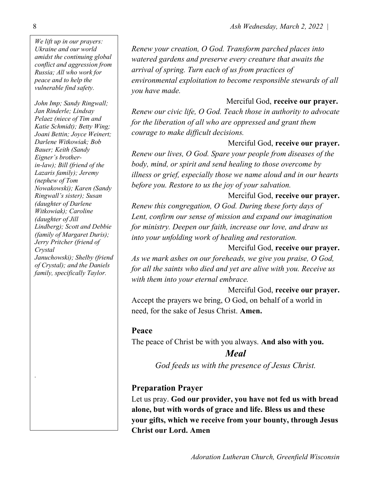We lift up in our prayers: Ukraine and our world amidst the continuing global conflict and aggression from Russia; All who work for peace and to help the vulnerable find safety.

John Imp; Sandy Ringwall; Jan Rinderle; Lindsay Pelaez (niece of Tim and Katie Schmidt); Betty Wing; Joani Bettin; Joyce Weinert; Darlene Witkowiak; Bob Bauer; Keith (Sandy Eigner's brotherin-law); Bill (friend of the Lazaris family); Jeremy (nephew of Tom Nowakowski); Karen (Sandy Ringwall's sister); Susan (daughter of Darlene Witkowiak); Caroline (daughter of Jill Lindberg); Scott and Debbie (family of Margaret Duris); Jerry Pritcher (friend of Crystal Januchowski); Shelby (friend of Crystal); and the Daniels family, specifically Taylor.

Renew your creation, O God. Transform parched places into watered gardens and preserve every creature that awaits the arrival of spring. Turn each of us from practices of environmental exploitation to become responsible stewards of all you have made.

### Merciful God, receive our prayer.

Renew our civic life, O God. Teach those in authority to advocate for the liberation of all who are oppressed and grant them courage to make difficult decisions.

### Merciful God, receive our prayer.

Renew our lives, O God. Spare your people from diseases of the body, mind, or spirit and send healing to those overcome by illness or grief, especially those we name aloud and in our hearts before you. Restore to us the joy of your salvation.

### Merciful God, receive our prayer.

Renew this congregation, O God. During these forty days of Lent, confirm our sense of mission and expand our imagination for ministry. Deepen our faith, increase our love, and draw us into your unfolding work of healing and restoration.

### Merciful God, receive our prayer.

As we mark ashes on our foreheads, we give you praise, O God, for all the saints who died and yet are alive with you. Receive us with them into your eternal embrace.

Merciful God, receive our prayer.

Accept the prayers we bring, O God, on behalf of a world in need, for the sake of Jesus Christ. Amen.

#### Peace

The peace of Christ be with you always. And also with you. Meal

God feeds us with the presence of Jesus Christ.

### Preparation Prayer

Let us pray. God our provider, you have not fed us with bread alone, but with words of grace and life. Bless us and these your gifts, which we receive from your bounty, through Jesus Christ our Lord. Amen

.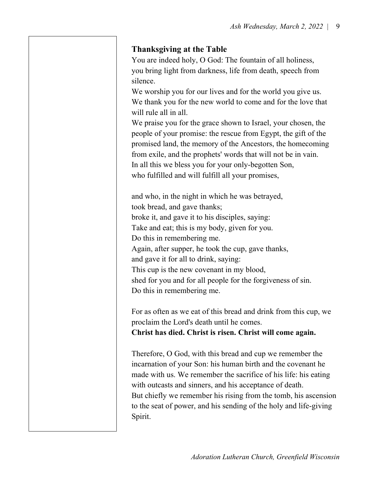# Thanksgiving at the Table

You are indeed holy, O God: The fountain of all holiness, you bring light from darkness, life from death, speech from silence.

We worship you for our lives and for the world you give us. We thank you for the new world to come and for the love that will rule all in all.

We praise you for the grace shown to Israel, your chosen, the people of your promise: the rescue from Egypt, the gift of the promised land, the memory of the Ancestors, the homecoming from exile, and the prophets' words that will not be in vain. In all this we bless you for your only-begotten Son, who fulfilled and will fulfill all your promises,

and who, in the night in which he was betrayed, took bread, and gave thanks; broke it, and gave it to his disciples, saying: Take and eat; this is my body, given for you. Do this in remembering me. Again, after supper, he took the cup, gave thanks, and gave it for all to drink, saying: This cup is the new covenant in my blood, shed for you and for all people for the forgiveness of sin. Do this in remembering me.

For as often as we eat of this bread and drink from this cup, we proclaim the Lord's death until he comes.

Christ has died. Christ is risen. Christ will come again.

Therefore, O God, with this bread and cup we remember the incarnation of your Son: his human birth and the covenant he made with us. We remember the sacrifice of his life: his eating with outcasts and sinners, and his acceptance of death. But chiefly we remember his rising from the tomb, his ascension to the seat of power, and his sending of the holy and life-giving Spirit.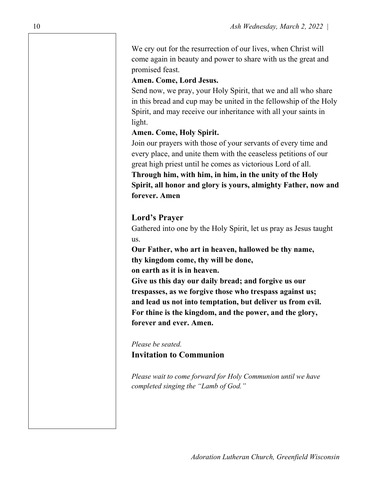We cry out for the resurrection of our lives, when Christ will come again in beauty and power to share with us the great and promised feast.

#### Amen. Come, Lord Jesus.

Send now, we pray, your Holy Spirit, that we and all who share in this bread and cup may be united in the fellowship of the Holy Spirit, and may receive our inheritance with all your saints in light.

#### Amen. Come, Holy Spirit.

Join our prayers with those of your servants of every time and every place, and unite them with the ceaseless petitions of our great high priest until he comes as victorious Lord of all. Through him, with him, in him, in the unity of the Holy Spirit, all honor and glory is yours, almighty Father, now and forever. Amen

#### Lord's Prayer

Gathered into one by the Holy Spirit, let us pray as Jesus taught us.

Our Father, who art in heaven, hallowed be thy name, thy kingdom come, thy will be done,

on earth as it is in heaven.

Give us this day our daily bread; and forgive us our trespasses, as we forgive those who trespass against us; and lead us not into temptation, but deliver us from evil. For thine is the kingdom, and the power, and the glory, forever and ever. Amen.

# Please be seated. Invitation to Communion

Please wait to come forward for Holy Communion until we have completed singing the "Lamb of God."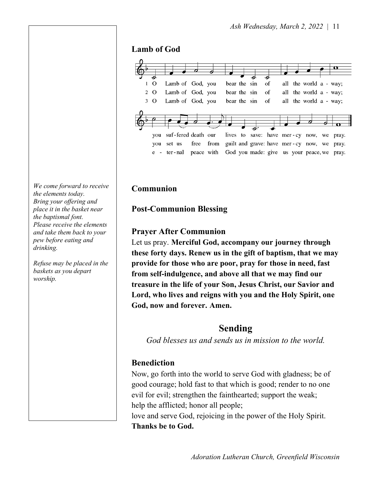We come forward to receive the elements today. Bring your offering and place it in the basket near the baptismal font. Please receive the elements and take them back to your pew before eating and drinking.

Refuse may be placed in the baskets as you depart worship.

### Lamb of God



# Communion

# Post-Communion Blessing

### Prayer After Communion

Let us pray. Merciful God, accompany our journey through these forty days. Renew us in the gift of baptism, that we may provide for those who are poor, pray for those in need, fast from self-indulgence, and above all that we may find our treasure in the life of your Son, Jesus Christ, our Savior and Lord, who lives and reigns with you and the Holy Spirit, one God, now and forever. Amen.

### Sending

God blesses us and sends us in mission to the world.

### Benediction

Now, go forth into the world to serve God with gladness; be of good courage; hold fast to that which is good; render to no one evil for evil; strengthen the fainthearted; support the weak; help the afflicted; honor all people;

love and serve God, rejoicing in the power of the Holy Spirit. Thanks be to God.